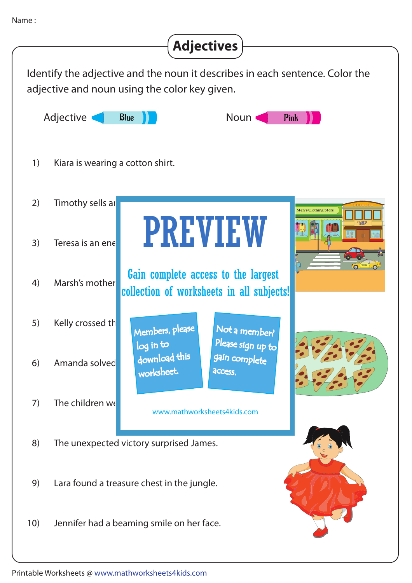